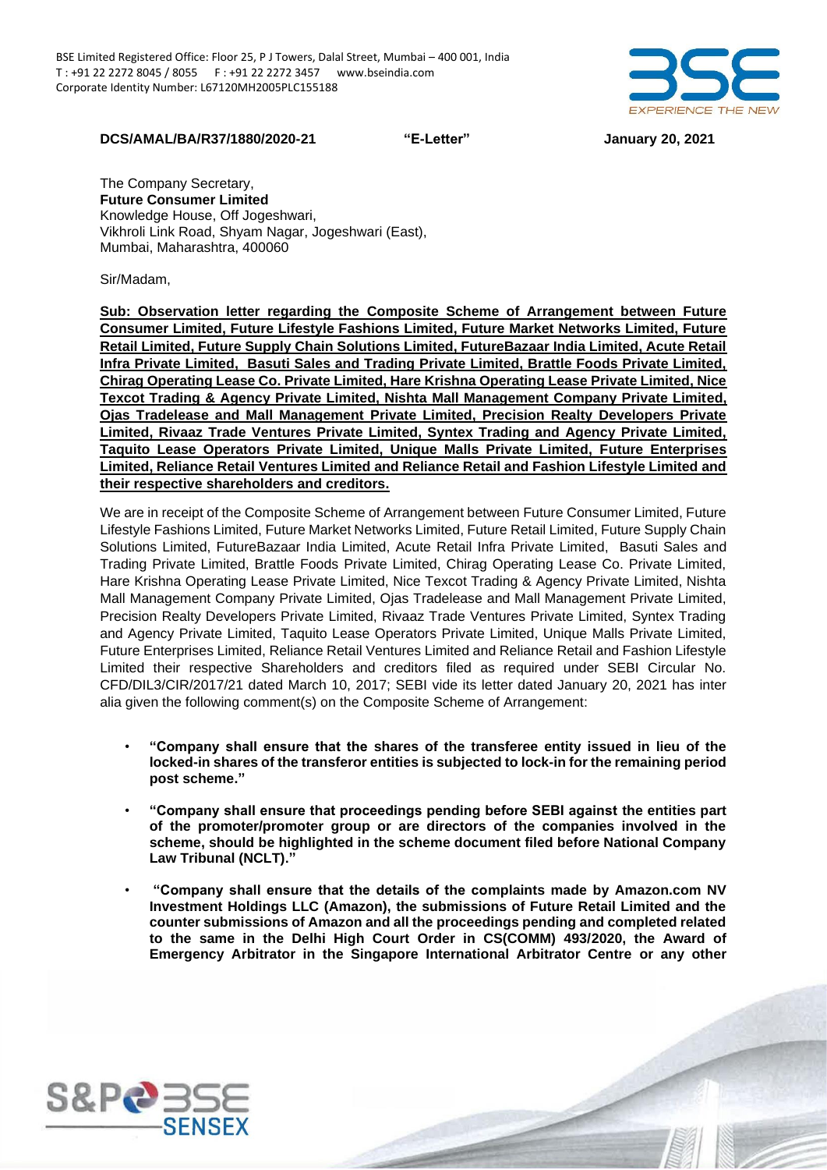

## **DCS/AMAL/BA/R37/1880/2020-21 "E-Letter" January 20, 2021**

The Company Secretary, **Future Consumer Limited**  Knowledge House, Off Jogeshwari, Vikhroli Link Road, Shyam Nagar, Jogeshwari (East), Mumbai, Maharashtra, 400060

Sir/Madam,

**Sub: Observation letter regarding the Composite Scheme of Arrangement between Future Consumer Limited, Future Lifestyle Fashions Limited, Future Market Networks Limited, Future Retail Limited, Future Supply Chain Solutions Limited, FutureBazaar India Limited, Acute Retail Infra Private Limited, Basuti Sales and Trading Private Limited, Brattle Foods Private Limited, Chirag Operating Lease Co. Private Limited, Hare Krishna Operating Lease Private Limited, Nice Texcot Trading & Agency Private Limited, Nishta Mall Management Company Private Limited, Ojas Tradelease and Mall Management Private Limited, Precision Realty Developers Private Limited, Rivaaz Trade Ventures Private Limited, Syntex Trading and Agency Private Limited, Taquito Lease Operators Private Limited, Unique Malls Private Limited, Future Enterprises Limited, Reliance Retail Ventures Limited and Reliance Retail and Fashion Lifestyle Limited and their respective shareholders and creditors.** 

We are in receipt of the Composite Scheme of Arrangement between Future Consumer Limited, Future Lifestyle Fashions Limited, Future Market Networks Limited, Future Retail Limited, Future Supply Chain Solutions Limited, FutureBazaar India Limited, Acute Retail Infra Private Limited, Basuti Sales and Trading Private Limited, Brattle Foods Private Limited, Chirag Operating Lease Co. Private Limited, Hare Krishna Operating Lease Private Limited, Nice Texcot Trading & Agency Private Limited, Nishta Mall Management Company Private Limited, Ojas Tradelease and Mall Management Private Limited, Precision Realty Developers Private Limited, Rivaaz Trade Ventures Private Limited, Syntex Trading and Agency Private Limited, Taquito Lease Operators Private Limited, Unique Malls Private Limited, Future Enterprises Limited, Reliance Retail Ventures Limited and Reliance Retail and Fashion Lifestyle Limited their respective Shareholders and creditors filed as required under SEBI Circular No. CFD/DIL3/CIR/2017/21 dated March 10, 2017; SEBI vide its letter dated January 20, 2021 has inter alia given the following comment(s) on the Composite Scheme of Arrangement:

- **"Company shall ensure that the shares of the transferee entity issued in lieu of the locked-in shares of the transferor entities is subjected to lock-in for the remaining period post scheme."**
- **"Company shall ensure that proceedings pending before SEBI against the entities part of the promoter/promoter group or are directors of the companies involved in the scheme, should be highlighted in the scheme document filed before National Company Law Tribunal (NCLT)."**
- **"Company shall ensure that the details of the complaints made by Amazon.com NV Investment Holdings LLC (Amazon), the submissions of Future Retail Limited and the counter submissions of Amazon and all the proceedings pending and completed related to the same in the Delhi High Court Order in CS(COMM) 493/2020, the Award of Emergency Arbitrator in the Singapore International Arbitrator Centre or any other**

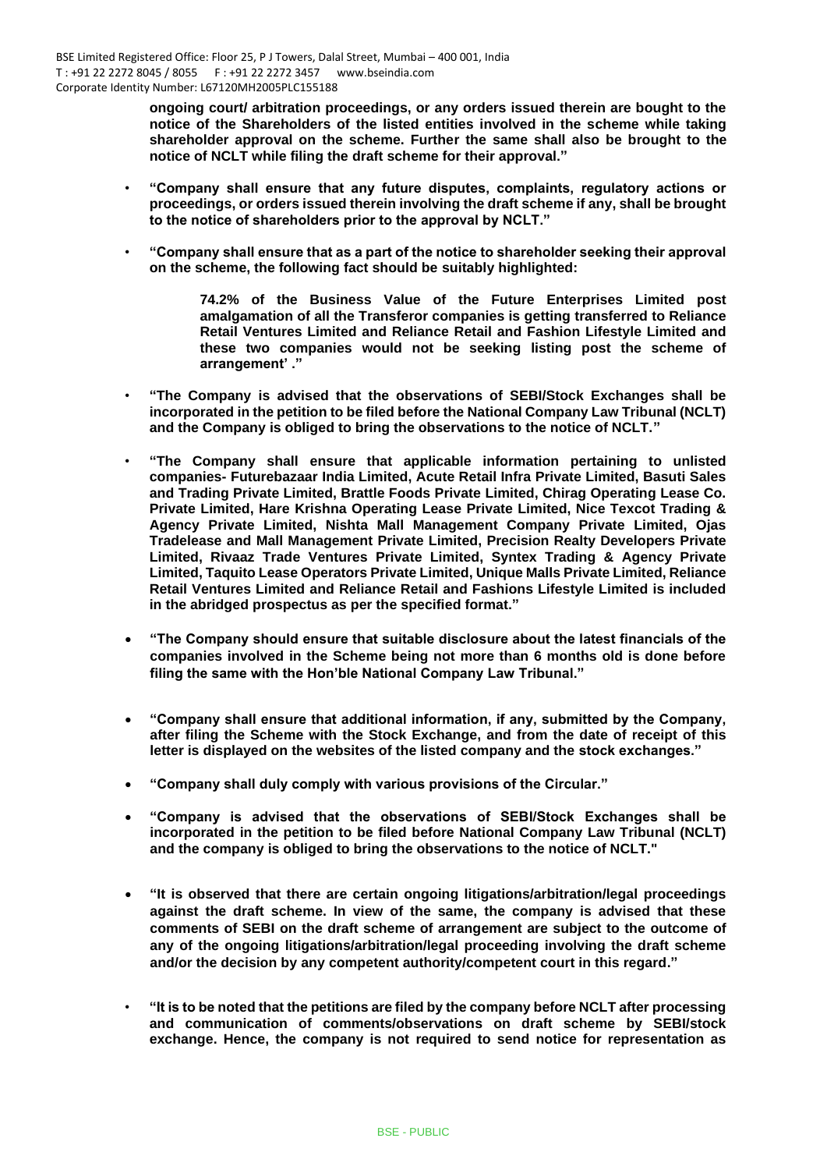**ongoing court/ arbitration proceedings, or any orders issued therein are bought to the notice of the Shareholders of the listed entities involved in the scheme while taking shareholder approval on the scheme. Further the same shall also be brought to the notice of NCLT while filing the draft scheme for their approval."**

- **"Company shall ensure that any future disputes, complaints, regulatory actions or proceedings, or orders issued therein involving the draft scheme if any, shall be brought to the notice of shareholders prior to the approval by NCLT."**
- **"Company shall ensure that as a part of the notice to shareholder seeking their approval on the scheme, the following fact should be suitably highlighted:**

**74.2% of the Business Value of the Future Enterprises Limited post amalgamation of all the Transferor companies is getting transferred to Reliance Retail Ventures Limited and Reliance Retail and Fashion Lifestyle Limited and these two companies would not be seeking listing post the scheme of arrangement' ."**

- **"The Company is advised that the observations of SEBI/Stock Exchanges shall be incorporated in the petition to be filed before the National Company Law Tribunal (NCLT) and the Company is obliged to bring the observations to the notice of NCLT."**
- **"The Company shall ensure that applicable information pertaining to unlisted companies- Futurebazaar India Limited, Acute Retail Infra Private Limited, Basuti Sales and Trading Private Limited, Brattle Foods Private Limited, Chirag Operating Lease Co. Private Limited, Hare Krishna Operating Lease Private Limited, Nice Texcot Trading & Agency Private Limited, Nishta Mall Management Company Private Limited, Ojas Tradelease and Mall Management Private Limited, Precision Realty Developers Private Limited, Rivaaz Trade Ventures Private Limited, Syntex Trading & Agency Private Limited, Taquito Lease Operators Private Limited, Unique Malls Private Limited, Reliance Retail Ventures Limited and Reliance Retail and Fashions Lifestyle Limited is included in the abridged prospectus as per the specified format."**
- **"The Company should ensure that suitable disclosure about the latest financials of the companies involved in the Scheme being not more than 6 months old is done before filing the same with the Hon'ble National Company Law Tribunal."**
- **"Company shall ensure that additional information, if any, submitted by the Company, after filing the Scheme with the Stock Exchange, and from the date of receipt of this letter is displayed on the websites of the listed company and the stock exchanges."**
- **"Company shall duly comply with various provisions of the Circular."**
- **"Company is advised that the observations of SEBI/Stock Exchanges shall be incorporated in the petition to be filed before National Company Law Tribunal (NCLT) and the company is obliged to bring the observations to the notice of NCLT."**
- **"It is observed that there are certain ongoing litigations/arbitration/legal proceedings against the draft scheme. In view of the same, the company is advised that these comments of SEBI on the draft scheme of arrangement are subject to the outcome of any of the ongoing litigations/arbitration/legal proceeding involving the draft scheme and/or the decision by any competent authority/competent court in this regard."**
- **"It is to be noted that the petitions are filed by the company before NCLT after processing and communication of comments/observations on draft scheme by SEBI/stock exchange. Hence, the company is not required to send notice for representation as**